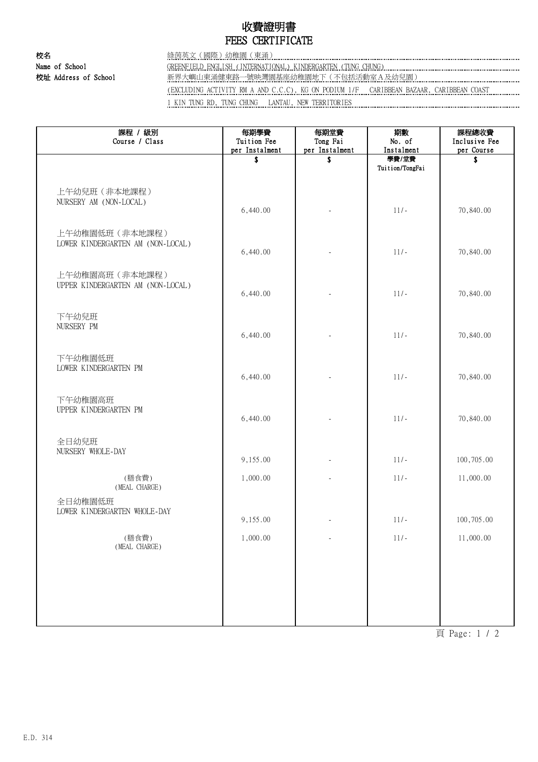## 收費證明書 FEES CERTIFICATE

校名 綠茵英文(國際)幼稚園(東涌) Name of School GREENFIELD ENGLISH (INTERNATIONAL) KINDERGARTEN (TUNG CHUNG) 校址 Address of School 新界大嶼山東涌健東路一號映灣園基座幼稚園地下(不包括活動室A及幼兒園) (EXCLUDING ACTIVITY RM A AND C.C.C), KG ON PODIUM 1/F CARIBBEAN BAZAAR, CARIBBEAN COAST 1 KIN TUNG RD, TUNG CHUNG LANTAU, NEW TERRITORIES

| 每期學費<br>Tuition Fee | 每期堂費<br>Tong Fai | 期數<br>No. of             | 課程總收費<br>Inclusive Fee<br>per Course |
|---------------------|------------------|--------------------------|--------------------------------------|
| \$                  | S                | 學費/堂費<br>Tuition/TongFai | \$                                   |
| 6,440.00            |                  | $11/-$                   | 70,840.00                            |
| 6,440.00            |                  | $11/-$                   | 70,840.00                            |
| 6,440.00            |                  | $11/-$                   | 70,840.00                            |
| 6,440.00            |                  | $11/-$                   | 70,840.00                            |
| 6,440.00            |                  | $11/-$                   | 70,840.00                            |
| 6,440.00            |                  | $11/-$                   | 70,840.00                            |
| 9,155.00            |                  | $11/-$                   | 100,705.00                           |
| 1,000.00            |                  | $11/-$                   | 11,000.00                            |
| 9,155.00            |                  | $11/-$                   | 100,705.00                           |
| 1,000.00            | ÷,               | $11/-$                   | 11,000.00                            |
|                     |                  |                          |                                      |
|                     |                  |                          |                                      |
|                     | per Instalment   | per Instalment           | Instalment                           |

頁 Page: 1 / 2